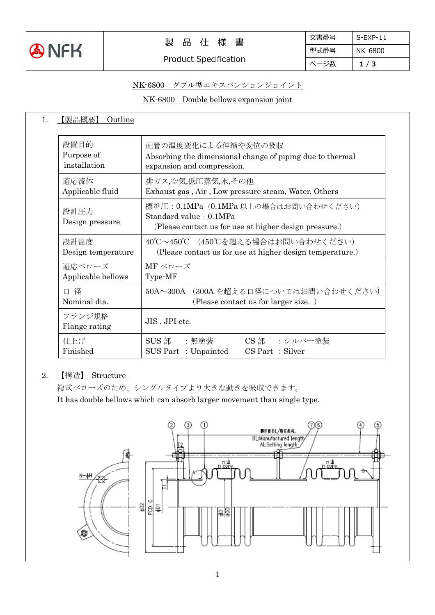

# NK-6800 ダブル型エキスパンションジョイント

NK-6800 Double bellows expansion joint

| 【製品概要】<br>Outline                  |                                                                                                                                                                                                                                                 |  |  |
|------------------------------------|-------------------------------------------------------------------------------------------------------------------------------------------------------------------------------------------------------------------------------------------------|--|--|
| 設置目的<br>Purpose of<br>installation | 配管の温度変化による伸縮や変位の吸収<br>Absorbing the dimensional change of piping due to thermal<br>expansion and compression.<br>排ガス,空気,低圧蒸気,水,その他<br>Exhaust gas, Air, Low pressure steam, Water, Others                                                       |  |  |
| 適応流体<br>Applicable fluid           |                                                                                                                                                                                                                                                 |  |  |
| 設計圧力<br>Design pressure            | 標準圧: 0.1MPa (0.1MPa 以上の場合はお問い合わせください)<br>Standard value: 0.1MPa<br>(Please contact us for use at higher design pressure.)<br>40℃~450℃ (450℃を超える場合はお問い合わせください)<br>(Please contact us for use at higher design temperature.)<br>MFベローズ<br>Type-MF |  |  |
| 設計温度<br>Design temperature         |                                                                                                                                                                                                                                                 |  |  |
| 適応ベローズ<br>Applicable bellows       |                                                                                                                                                                                                                                                 |  |  |
| 口径<br>Nominal dia.                 | 50A~300A (300A を超える口径についてはお問い合わせください)<br>(Please contact us for larger size.)                                                                                                                                                                   |  |  |
| フランジ規格<br>Flange rating            | JIS, JPI etc.                                                                                                                                                                                                                                   |  |  |
| 仕上げ<br>Finished                    | SUS 部<br>CS部 :シルバー塗装<br>:無塗装<br>SUS Part: Unpainted<br>$CS$ Part : Silver                                                                                                                                                                       |  |  |

## 2. 【構造】 Structure

複式ベローズのため、シングルタイプより大きな動きを吸収できます。

It has double bellows which can absorb larger movement than single type.

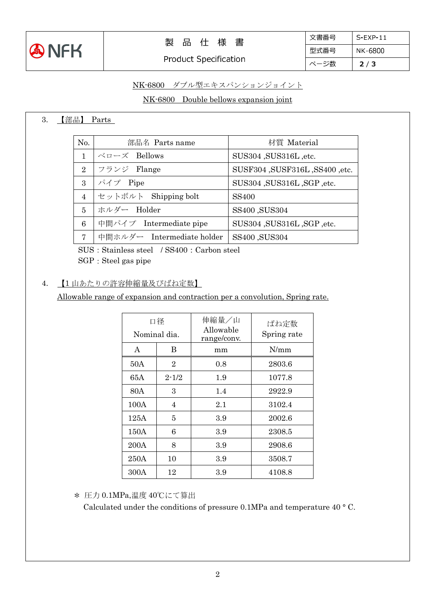

| 文書番号 | $S-FXP-11$ |
|------|------------|
| 型式番号 | NK-6800    |
| ページ数 | 2/3        |

# NK-6800 ダブル型エキスパンションジョイント

## NK-6800 Double bellows expansion joint

#### 3. 【部品】 Parts

| No.            | 部品名 Parts name             | 材質 Material                    |
|----------------|----------------------------|--------------------------------|
| 1              | ベローズ Bellows               | SUS304, SUS316L, etc.          |
| 2              | フランジ Flange                | SUSF304, SUSF316L, SS400, etc. |
| 3              | パイプ Pipe                   | SUS304 , SUS316L , SGP , etc.  |
| $\overline{4}$ | セットボルト Shipping bolt       | <b>SS400</b>                   |
| 5              | ホルダー Holder                | SS400, SUS304                  |
| 6              | 中間パイプ Intermediate pipe    | SUS304, SUS316L, SGP, etc.     |
| $\overline{7}$ | 中間ホルダー Intermediate holder | SS400, SUS304                  |
|                |                            |                                |

SUS: Stainless steel / SS400: Carbon steel SGP: Steel gas pipe

#### 4. 【1 山あたりの許容伸縮量及びばね定数】

Allowable range of expansion and contraction per a convolution, Spring rate.

| 口径<br>Nominal dia. |                | 伸縮量/山<br>Allowable<br>range/conv. | ばね定数<br>Spring rate |
|--------------------|----------------|-----------------------------------|---------------------|
| A                  | B              | mm                                | N/mm                |
| 50A                | $\overline{2}$ | 0.8                               | 2803.6              |
| 65A                | $2 - 1/2$      | 1.9                               | 1077.8              |
| 80A                | 3              | 1.4                               | 2922.9              |
| 100A               | 4              | 2.1                               | 3102.4              |
| 125A               | 5              | 3.9                               | 2002.6              |
| 150A               | 6              | 3.9                               | 2308.5              |
| 200A               | 8              | 3.9                               | 2908.6              |
| 250A               | 10             | 3.9                               | 3508.7              |
| 300A               | 12             | 3.9                               | 4108.8              |

\* 圧力 0.1MPa,温度 40℃にて算出

Calculated under the conditions of pressure 0.1MPa and temperature 40 ° C.